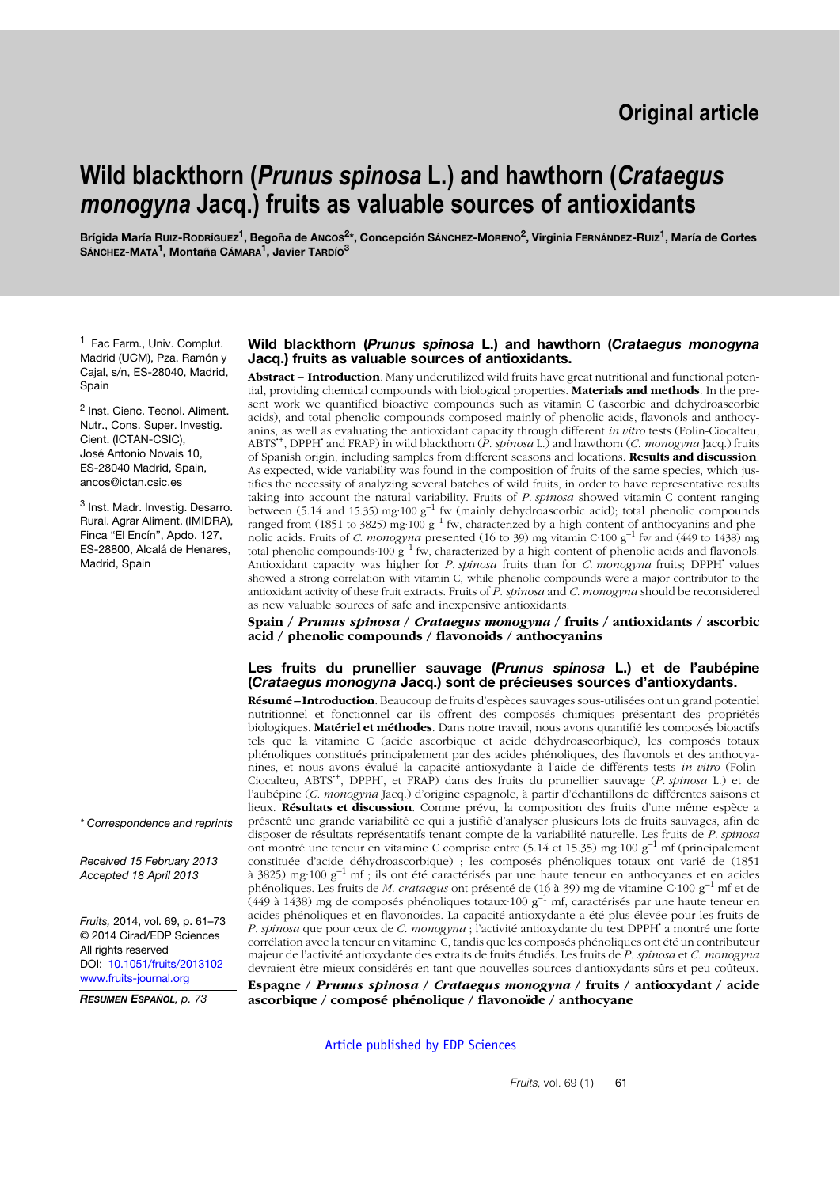# **Wild blackthorn (***Prunus spinosa* **L.) and hawthorn (***Crataegus monogyna* **Jacq.) fruits as valuable sources of antioxidants**

Brígida María Ruiz-Ropríguez<sup>1</sup>, Begoña de Ancos<sup>2\*</sup>, Concepción Sánchez-Moreno<sup>2</sup>, Virginia Fernández-Ruiz<sup>1</sup>, María de Cortes **SÁNCHEZ-MATA1, Montaña CÁMARA1, Javier TARDÍO3**

<sup>1</sup> Fac Farm., Univ. Complut. Madrid (UCM), Pza. Ramón y Cajal, s/n, ES-28040, Madrid, **Spain** 

<sup>2</sup> Inst. Cienc. Tecnol. Aliment. Nutr., Cons. Super. Investig. Cient. (ICTAN-CSIC), José Antonio Novais 10, ES-28040 Madrid, Spain, ancos@ictan.csic.es

<sup>3</sup> Inst. Madr. Investig. Desarro. Rural. Agrar Aliment. (IMIDRA), Finca "El Encín", Apdo. 127, ES-28800, Alcalá de Henares, Madrid, Spain

#### **Wild blackthorn (***Prunus spinosa* **L.) and hawthorn (***Crataegus monogyna* **Jacq.) fruits as valuable sources of antioxidants.**

**Abstract** – **Introduction**. Many underutilized wild fruits have great nutritional and functional potential, providing chemical compounds with biological properties. **Materials and methods**. In the present work we quantified bioactive compounds such as vitamin C (ascorbic and dehydroascorbic acids), and total phenolic compounds composed mainly of phenolic acids, flavonols and anthocyanins, as well as evaluating the antioxidant capacity through different *in vitro* tests (Folin-Ciocalteu, ABTS**·**+, DPPH**·** and FRAP) in wild blackthorn (*P. spinosa* L.) and hawthorn (*C. monogyna* Jacq.) fruits of Spanish origin, including samples from different seasons and locations. **Results and discussion**. As expected, wide variability was found in the composition of fruits of the same species, which justifies the necessity of analyzing several batches of wild fruits, in order to have representative results taking into account the natural variability. Fruits of *P. spinosa* showed vitamin C content ranging between (5.14 and 15.35) mg·100  $g^{-1}$  fw (mainly dehydroascorbic acid); total phenolic compounds ranged from  $(1851 \text{ to } 3825)$  mg·100  $g^{-1}$  fw, characterized by a high content of anthocyanins and phenolic acids. Fruits of *C. monogyna* presented (16 to 39) mg vitamin C·100 g–1 fw and (449 to 1438) mg total phenolic compounds 100  $\tilde{g}^{-1}$  fw, characterized by a high content of phenolic acids and flavonols. Antioxidant capacity was higher for *P. spinosa* fruits than for *C. monogyna* fruits; DPPH**·** values showed a strong correlation with vitamin C, while phenolic compounds were a major contributor to the antioxidant activity of these fruit extracts. Fruits of *P. spinosa* and *C. monogyna* should be reconsidered as new valuable sources of safe and inexpensive antioxidants.

**Spain /** *Prunus spinosa* **/** *Crataegus monogyna* **/ fruits / antioxidants / ascorbic acid / phenolic compounds / flavonoids / anthocyanins**

#### **Les fruits du prunellier sauvage (***Prunus spinosa* **L.) et de l'aubépine (***Crataegus monogyna* **Jacq.) sont de précieuses sources d'antioxydants.**

**Résumé – Introduction**. Beaucoup de fruits d'espèces sauvages sous-utilisées ont un grand potentiel nutritionnel et fonctionnel car ils offrent des composés chimiques présentant des propriétés biologiques. **Matériel et méthodes**. Dans notre travail, nous avons quantifié les composés bioactifs tels que la vitamine C (acide ascorbique et acide déhydroascorbique), les composés totaux phénoliques constitués principalement par des acides phénoliques, des flavonols et des anthocyanines, et nous avons évalué la capacité antioxydante à l'aide de différents tests *in vitro* (Folin-Ciocalteu, ABTS**·**+, DPPH**·** , et FRAP) dans des fruits du prunellier sauvage (*P. spinosa* L.) et de l'aubépine (*C. monogyna* Jacq.) d'origine espagnole, à partir d'échantillons de différentes saisons et lieux. **Résultats et discussion**. Comme prévu, la composition des fruits d'une même espèce a présenté une grande variabilité ce qui a justifié d'analyser plusieurs lots de fruits sauvages, afin de disposer de résultats représentatifs tenant compte de la variabilité naturelle. Les fruits de *P. spinosa* ont montré une teneur en vitamine C comprise entre (5.14 et 15.35) mg·100 g–1 mf (principalement constituée d'acide déhydroascorbique) ; les composés phénoliques totaux ont varié de (1851 à 3825) mg·100 g–1 mf ; ils ont été caractérisés par une haute teneur en anthocyanes et en acides phénoliques. Les fruits de *M. crataegus* ont présenté de (16 à 39) mg de vitamine C·100 g–1 mf et de  $(449$  à 1438) mg de composés phénoliques totaux 100 g<sup>-1</sup> mf, caractérisés par une haute teneur en acides phénoliques et en flavonoïdes. La capacité antioxydante a été plus élevée pour les fruits de *P. spinosa* que pour ceux de *C. monogyna* ; l'activité antioxydante du test DPPH**·** a montré une forte corrélation avec la teneur en vitamine C, tandis que les composés phénoliques ont été un contributeur majeur de l'activité antioxydante des extraits de fruits étudiés. Les fruits de *P. spinosa* et *C. monogyna* devraient être mieux considérés en tant que nouvelles sources d'antioxydants sûrs et peu coûteux.

**Espagne /** *Prunus spinosa* **/** *Crataegus monogyna* **/ fruits / antioxydant / acide ascorbique / composé phénolique / flavonoïde / anthocyane**

[Article published by EDP Sciences](http://publications.edpsciences.org)

*\* Correspondence and reprints*

*Received 15 February 2013 Accepted 18 April 2013*

*Fruits,* 2014, vol. 69, p. 61–73 © 2014 Cirad/EDP Sciences All rights reserved DOI: [10.1051/fruits/2013102](http://dx.doi.org/10.1051/fruits/2013102) [www.fruits-journal.org](http://dx.doi.org/10.1051/fruits/2013102)

*RESUMEN ESPAÑOL, p. 73*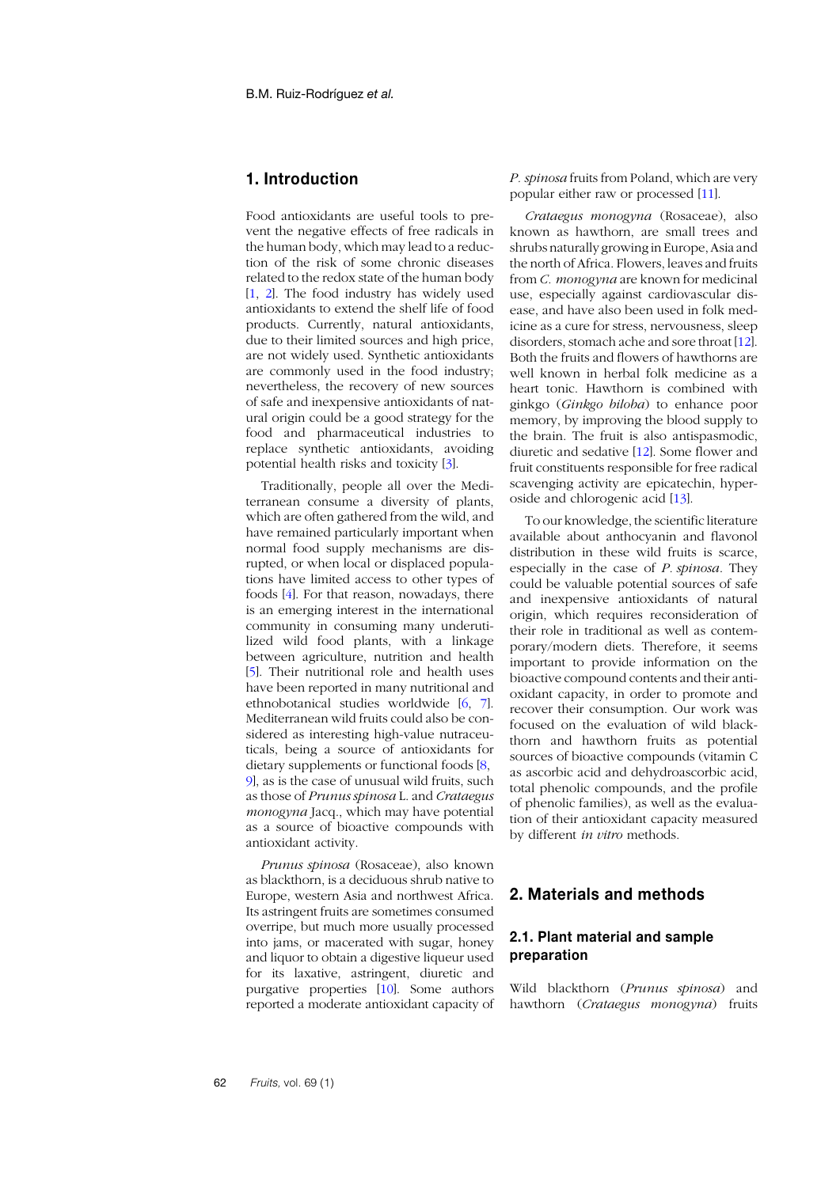# **1. Introduction**

Food antioxidants are useful tools to prevent the negative effects of free radicals in the human body, which may lead to a reduction of the risk of some chronic diseases related to the redox state of the human body [[1](#page-10-0), [2](#page-10-1)]. The food industry has widely used antioxidants to extend the shelf life of food products. Currently, natural antioxidants, due to their limited sources and high price, are not widely used. Synthetic antioxidants are commonly used in the food industry; nevertheless, the recovery of new sources of safe and inexpensive antioxidants of natural origin could be a good strategy for the food and pharmaceutical industries to replace synthetic antioxidants, avoiding potential health risks and toxicity [[3](#page-10-2)].

Traditionally, people all over the Mediterranean consume a diversity of plants, which are often gathered from the wild, and have remained particularly important when normal food supply mechanisms are disrupted, or when local or displaced populations have limited access to other types of foods [4]. For that reason, nowadays, there is an emerging interest in the international community in consuming many underutilized wild food plants, with a linkage between agriculture, nutrition and health [[5](#page-10-5)]. Their nutritional role and health uses have been reported in many nutritional and ethnobotanical studies worldwide [\[6](#page-10-3), [7](#page-10-4)]. Mediterranean wild fruits could also be considered as interesting high-value nutraceuticals, being a source of antioxidants for dietary supplements or functional foods [\[8](#page-10-6), 9], as is the case of unusual wild fruits, such as those of *Prunus spinosa* L. and *Crataegus monogyna* Jacq., which may have potential as a source of bioactive compounds with antioxidant activity.

*Prunus spinosa* (Rosaceae), also known as blackthorn, is a deciduous shrub native to Europe, western Asia and northwest Africa. Its astringent fruits are sometimes consumed overripe, but much more usually processed into jams, or macerated with sugar, honey and liquor to obtain a digestive liqueur used for its laxative, astringent, diuretic and purgative properties [[10](#page-11-0)]. Some authors reported a moderate antioxidant capacity of *P. spinosa* fruits from Poland, which are very popular either raw or processed [1[1](#page-11-1)].

*Crataegus monogyna* (Rosaceae), also known as hawthorn, are small trees and shrubs naturally growing in Europe, Asia and the north of Africa. Flowers, leaves and fruits from *C. monogyna* are known for medicinal use, especially against cardiovascular disease, and have also been used in folk medicine as a cure for stress, nervousness, sleep disorders, stomach ache and sore throat [1[2](#page-11-2)]. Both the fruits and flowers of hawthorns are well known in herbal folk medicine as a heart tonic. Hawthorn is combined with ginkgo (*Ginkgo biloba*) to enhance poor memory, by improving the blood supply to the brain. The fruit is also antispasmodic, diuretic and sedative [1[2](#page-11-2)]. Some flower and fruit constituents responsible for free radical scavenging activity are epicatechin, hyperoside and chlorogenic acid [[13](#page-11-3)].

To our knowledge, the scientific literature available about anthocyanin and flavonol distribution in these wild fruits is scarce, especially in the case of *P. spinosa*. They could be valuable potential sources of safe and inexpensive antioxidants of natural origin, which requires reconsideration of their role in traditional as well as contemporary/modern diets. Therefore, it seems important to provide information on the bioactive compound contents and their antioxidant capacity, in order to promote and recover their consumption. Our work was focused on the evaluation of wild blackthorn and hawthorn fruits as potential sources of bioactive compounds (vitamin C as ascorbic acid and dehydroascorbic acid, total phenolic compounds, and the profile of phenolic families), as well as the evaluation of their antioxidant capacity measured by different *in vitro* methods.

# **2. Materials and methods**

# **2.1. Plant material and sample preparation**

Wild blackthorn (*Prunus spinosa*) and hawthorn (*Crataegus monogyna*) fruits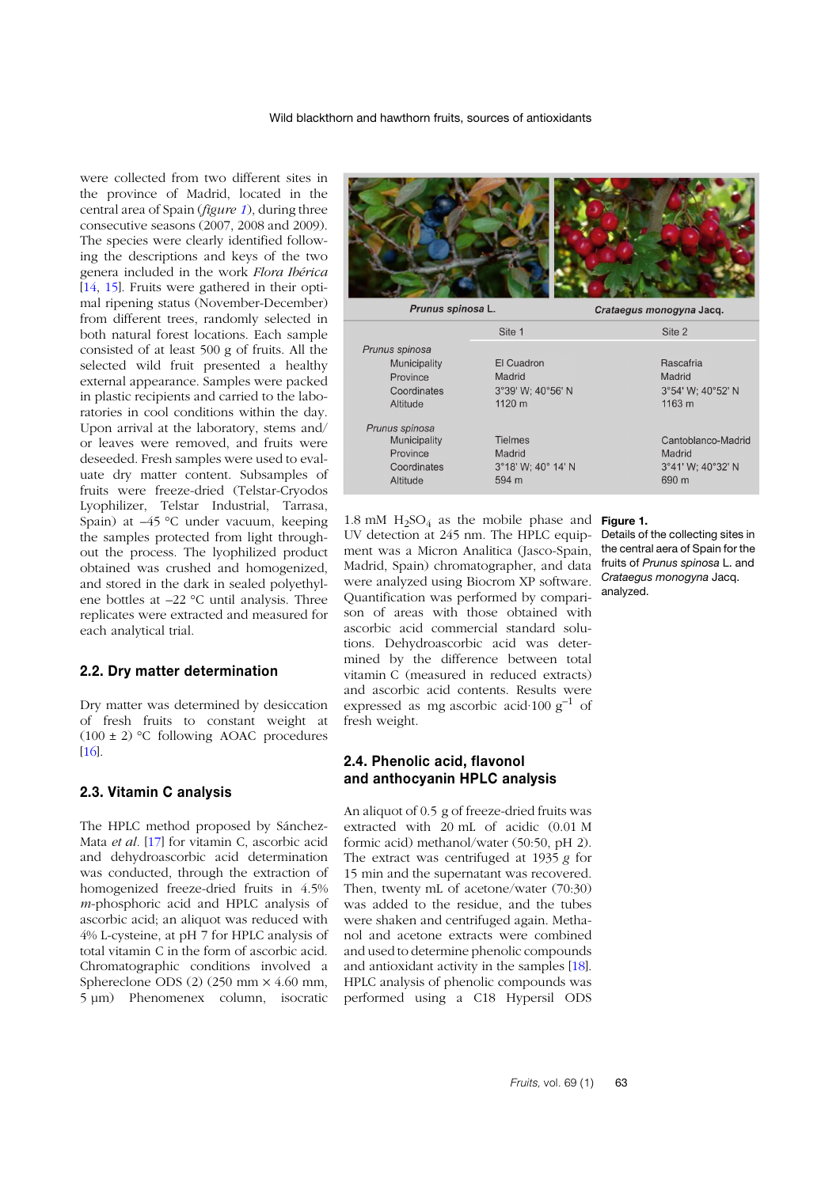were collected from two different sites in the province of Madrid, located in the central area of Spain (*figure [1](#page-2-0)*), during three consecutive seasons (2007, 2008 and 2009). The species were clearly identified following the descriptions and keys of the two genera included in the work *Flora Ibérica* [1[4](#page-11-4), [15](#page-11-5)]. Fruits were gathered in their optimal ripening status (November-December) from different trees, randomly selected in both natural forest locations. Each sample consisted of at least 500 g of fruits. All the selected wild fruit presented a healthy external appearance. Samples were packed in plastic recipients and carried to the laboratories in cool conditions within the day. Upon arrival at the laboratory, stems and/ or leaves were removed, and fruits were deseeded. Fresh samples were used to evaluate dry matter content. Subsamples of fruits were freeze-dried (Telstar-Cryodos Lyophilizer, Telstar Industrial, Tarrasa, Spain) at –45 °C under vacuum, keeping the samples protected from light throughout the process. The lyophilized product obtained was crushed and homogenized, and stored in the dark in sealed polyethylene bottles at –22 °C until analysis. Three replicates were extracted and measured for each analytical trial.

#### **2.2. Dry matter determination**

Dry matter was determined by desiccation of fresh fruits to constant weight at  $(100 \pm 2)$  °C following AOAC procedures  $[16]$  $[16]$  $[16]$ 

#### **2.3. Vitamin C analysis**

The HPLC method proposed by Sánchez-Mata *et al.* [1[7](#page-11-7)] for vitamin C, ascorbic acid and dehydroascorbic acid determination was conducted, through the extraction of homogenized freeze-dried fruits in 4.5% *m*-phosphoric acid and HPLC analysis of ascorbic acid; an aliquot was reduced with 4% L-cysteine, at pH 7 for HPLC analysis of total vitamin C in the form of ascorbic acid. Chromatographic conditions involved a Sphereclone ODS  $(2)$   $(250 \text{ mm} \times 4.60 \text{ mm})$ , 5 µm) Phenomenex column, isocratic



|                | Site 1             | Site 2             |
|----------------|--------------------|--------------------|
| Prunus spinosa |                    |                    |
| Municipality   | El Cuadron         | Rascafria          |
| Province       | Madrid             | Madrid             |
| Coordinates    | 3°39' W; 40°56' N  | 3°54' W; 40°52' N  |
| Altitude       | 1120 m             | 1163 m             |
| Prunus spinosa |                    |                    |
| Municipality   | <b>Tielmes</b>     | Cantoblanco-Madrid |
| Province       | Madrid             | Madrid             |
| Coordinates    | 3°18' W: 40° 14' N | 3°41' W: 40°32' N  |
| Altitude       | 594 m              | 690 m              |
|                |                    |                    |

1.8 mM  $H_2SO_4$  as the mobile phase and **Figure 1.** UV detection at 245 nm. The HPLC equipment was a Micron Analitica (Jasco-Spain, the central aera of Spain for the Madrid, Spain) chromatographer, and data were analyzed using Biocrom XP software. Quantification was performed by comparison of areas with those obtained with ascorbic acid commercial standard solutions. Dehydroascorbic acid was determined by the difference between total vitamin C (measured in reduced extracts) and ascorbic acid contents. Results were expressed as mg ascorbic acid $\cdot 100 \text{ g}^{-1}$  of fresh weight.

#### **2.4. Phenolic acid, flavonol and anthocyanin HPLC analysis**

An aliquot of 0.5 g of freeze-dried fruits was extracted with 20 mL of acidic (0.01 M formic acid) methanol/water (50:50, pH 2). The extract was centrifuged at 1935 *g* for 15 min and the supernatant was recovered. Then, twenty mL of acetone/water (70:30) was added to the residue, and the tubes were shaken and centrifuged again. Methanol and acetone extracts were combined and used to determine phenolic compounds and antioxidant activity in the samples [[18](#page-11-8)]. HPLC analysis of phenolic compounds was performed using a C18 Hypersil ODS

<span id="page-2-0"></span>Details of the collecting sites in fruits of *Prunus spinosa* L. and *Crataegus monogyna* Jacq. analyzed.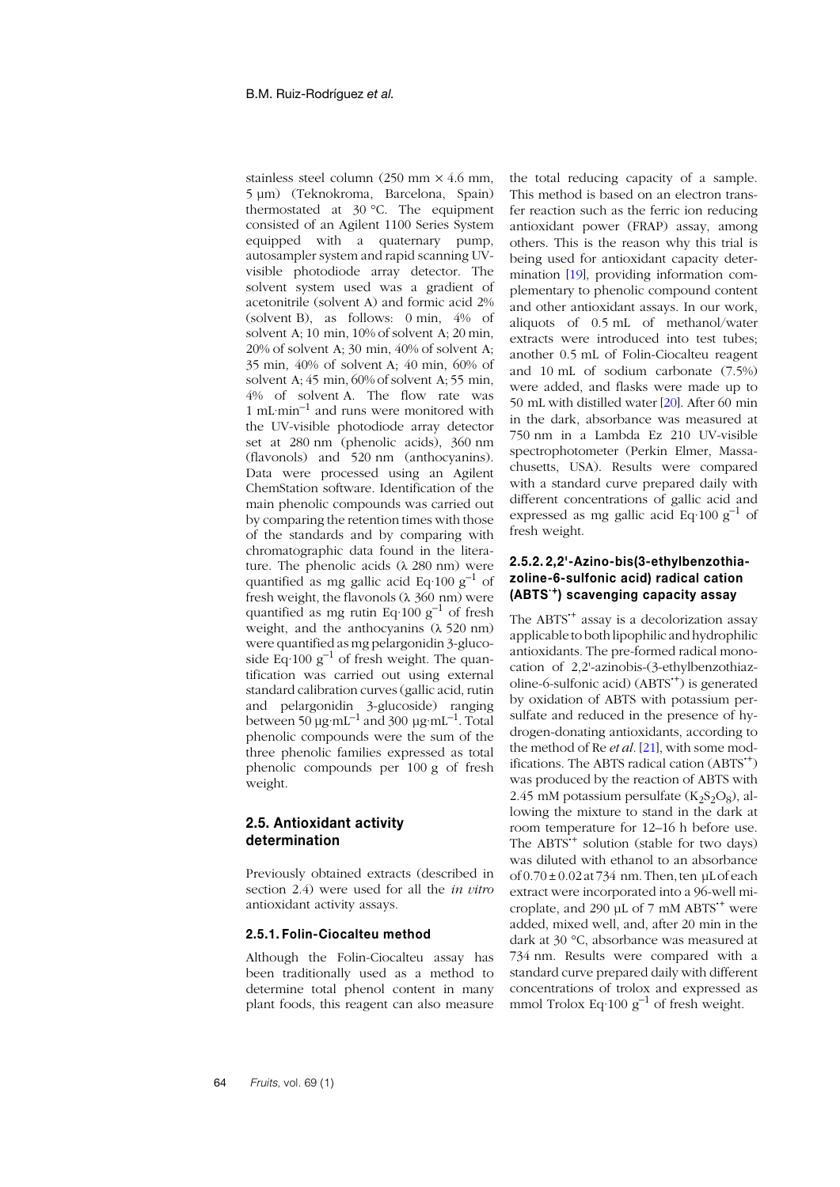stainless steel column (250 mm  $\times$  4.6 mm, 5 µm) (Teknokroma, Barcelona, Spain) thermostated at 30 °C. The equipment consisted of an Agilent 1100 Series System equipped with a quaternary pump, autosampler system and rapid scanning UVvisible photodiode array detector. The solvent system used was a gradient of acetonitrile (solvent A) and formic acid 2% (solvent B), as follows: 0 min, 4% of solvent A; 10 min, 10% of solvent A; 20 min, 20% of solvent A; 30 min, 40% of solvent A; 35 min, 40% of solvent A; 40 min, 60% of solvent A; 45 min, 60% of solvent A; 55 min, 4% of solvent A. The flow rate was 1 mL·min–1 and runs were monitored with the UV-visible photodiode array detector set at 280 nm (phenolic acids), 360 nm (flavonols) and 520 nm (anthocyanins). Data were processed using an Agilent ChemStation software. Identification of the main phenolic compounds was carried out by comparing the retention times with those of the standards and by comparing with chromatographic data found in the literature. The phenolic acids (λ 280 nm) were quantified as mg gallic acid Eq·100  $g^{-1}$  of fresh weight, the flavonols  $(\lambda 360 \text{ nm})$  were quantified as mg rutin Eq·100  $g^{-1}$  of fresh weight, and the anthocyanins (λ 520 nm) were quantified as mg pelargonidin 3-glucoside Eq $\cdot$ 100 g<sup>-1</sup> of fresh weight. The quantification was carried out using external standard calibration curves (gallic acid, rutin and pelargonidin 3-glucoside) ranging between 50  $\mu$ g·mL<sup>-1</sup> and 300  $\mu$ g·mL<sup>-1</sup>. Total phenolic compounds were the sum of the three phenolic families expressed as total phenolic compounds per 100 g of fresh weight.

## **2.5. Antioxidant activity determination**

Previously obtained extracts (described in section 2.4) were used for all the *in vitro* antioxidant activity assays.

#### **2.5.1. Folin-Ciocalteu method**

Although the Folin-Ciocalteu assay has been traditionally used as a method to determine total phenol content in many plant foods, this reagent can also measure

the total reducing capacity of a sample. This method is based on an electron transfer reaction such as the ferric ion reducing antioxidant power (FRAP) assay, among others. This is the reason why this trial is being used for antioxidant capacity determination [[19](#page-11-9)], providing information complementary to phenolic compound content and other antioxidant assays. In our work, aliquots of 0.5 mL of methanol/water extracts were introduced into test tubes; another 0.5 mL of Folin-Ciocalteu reagent and 10 mL of sodium carbonate (7.5%) were added, and flasks were made up to 50 mL with distilled water [[20](#page-11-10)]. After 60 min in the dark, absorbance was measured at 750 nm in a Lambda Ez 210 UV-visible spectrophotometer (Perkin Elmer, Massachusetts, USA). Results were compared with a standard curve prepared daily with different concentrations of gallic acid and expressed as mg gallic acid Eq $\cdot$ 100 g<sup>-1</sup> of fresh weight.

#### **2.5.2. 2,2'-Azino-bis(3-ethylbenzothiazoline-6-sulfonic acid) radical cation (ABTS·+) scavenging capacity assay**

The ABTS**·**<sup>+</sup> assay is a decolorization assay applicable to both lipophilic and hydrophilic antioxidants. The pre-formed radical monocation of 2,2'-azinobis-(3-ethylbenzothiazoline-6-sulfonic acid) (ABTS**·**+) is generated by oxidation of ABTS with potassium persulfate and reduced in the presence of hydrogen-donating antioxidants, according to the method of Re *et al.* [[21](#page-11-11)], with some modifications. The ABTS radical cation (ABTS**·**+) was produced by the reaction of ABTS with 2.45 mM potassium persulfate  $(K_2S_2O_8)$ , allowing the mixture to stand in the dark at room temperature for 12–16 h before use. The ABTS**·**<sup>+</sup> solution (stable for two days) was diluted with ethanol to an absorbance of  $0.70 \pm 0.02$  at 734 nm. Then, ten µL of each extract were incorporated into a 96-well microplate, and 290 µL of 7 mM ABTS**·**<sup>+</sup> were added, mixed well, and, after 20 min in the dark at 30 °C, absorbance was measured at 734 nm. Results were compared with a standard curve prepared daily with different concentrations of trolox and expressed as mmol Trolox Eq $\cdot$ 100 g<sup>-1</sup> of fresh weight.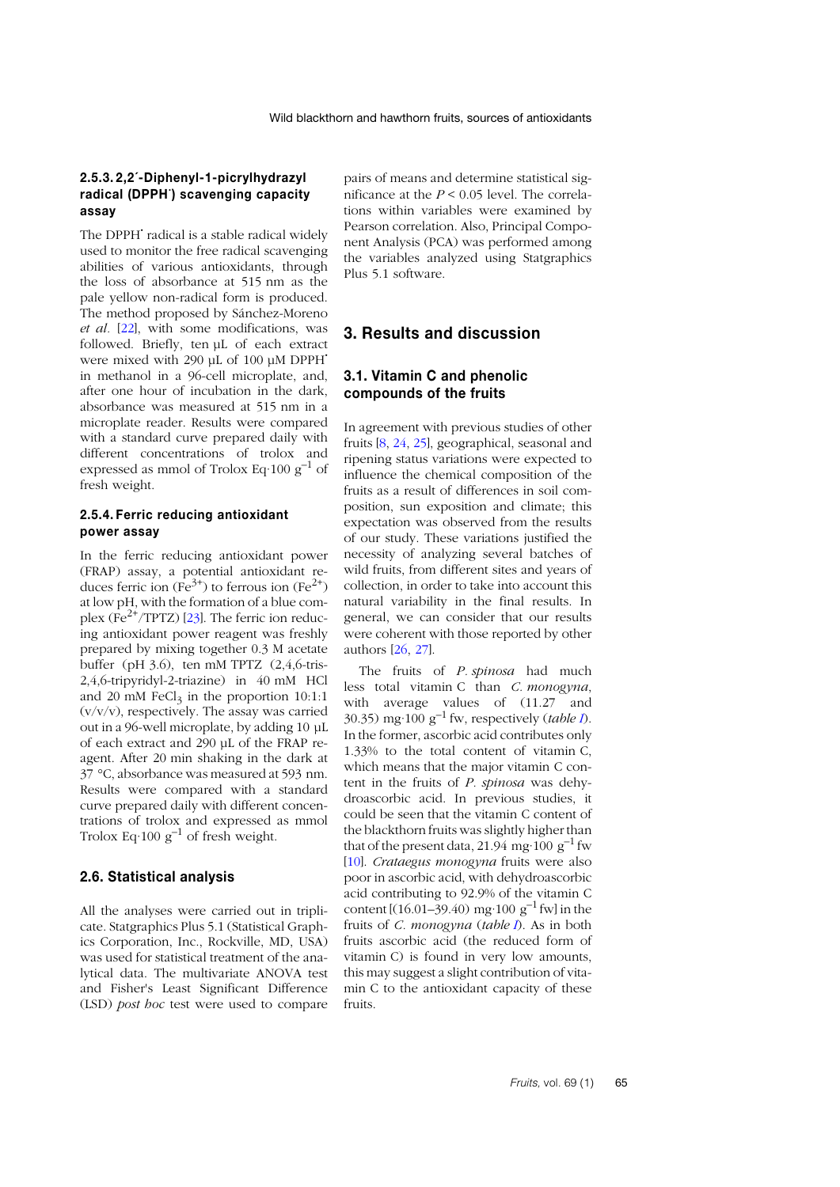#### **2.5.3. 2,2´-Diphenyl-1-picrylhydrazyl radical (DPPH· ) scavenging capacity assay**

The DPPH**·** radical is a stable radical widely used to monitor the free radical scavenging abilities of various antioxidants, through the loss of absorbance at 515 nm as the pale yellow non-radical form is produced. The method proposed by Sánchez-Moreno *et al.* [[22](#page-11-12)], with some modifications, was followed. Briefly, ten uL of each extract were mixed with 290 µL of 100 µM DPPH**·** in methanol in a 96-cell microplate, and, after one hour of incubation in the dark, absorbance was measured at 515 nm in a microplate reader. Results were compared with a standard curve prepared daily with different concentrations of trolox and expressed as mmol of Trolox Eq $\cdot$ 100 g<sup>-1</sup> of fresh weight.

#### **2.5.4. Ferric reducing antioxidant power assay**

In the ferric reducing antioxidant power (FRAP) assay, a potential antioxidant reduces ferric ion  $(Fe^{3+})$  to ferrous ion  $(Fe^{2+})$ at low pH, with the formation of a blue com-plex (Fe<sup>2+</sup>/TPTZ) [2[3](#page-11-13)]. The ferric ion reducing antioxidant power reagent was freshly prepared by mixing together 0.3 M acetate buffer (pH 3.6), ten mM TPTZ (2,4,6-tris-2,4,6-tripyridyl-2-triazine) in 40 mM HCl and 20 mM FeCl<sub>3</sub> in the proportion  $10:1:1$  $(v/v/v)$ , respectively. The assay was carried out in a 96-well microplate, by adding 10 µL of each extract and 290 µL of the FRAP reagent. After 20 min shaking in the dark at 37 °C, absorbance was measured at 593 nm. Results were compared with a standard curve prepared daily with different concentrations of trolox and expressed as mmol Trolox Eq $\cdot 100 \text{ g}^{-1}$  of fresh weight.

#### **2.6. Statistical analysis**

All the analyses were carried out in triplicate. Statgraphics Plus 5.1 (Statistical Graphics Corporation, Inc., Rockville, MD, USA) was used for statistical treatment of the analytical data. The multivariate ANOVA test and Fisher's Least Significant Difference (LSD) *post hoc* test were used to compare pairs of means and determine statistical significance at the *P* < 0.05 level. The correlations within variables were examined by Pearson correlation. Also, Principal Component Analysis (PCA) was performed among the variables analyzed using Statgraphics Plus 5.1 software.

# **3. Results and discussion**

## **3.1. Vitamin C and phenolic compounds of the fruits**

In agreement with previous studies of other fruits [[8](#page-10-6), [24](#page-11-14), 2[5](#page-11-15)], geographical, seasonal and ripening status variations were expected to influence the chemical composition of the fruits as a result of differences in soil composition, sun exposition and climate; this expectation was observed from the results of our study. These variations justified the necessity of analyzing several batches of wild fruits, from different sites and years of collection, in order to take into account this natural variability in the final results. In general, we can consider that our results were coherent with those reported by other authors [[26](#page-11-16), [27](#page-11-17)].

The fruits of *P. spinosa* had much less total vitamin C than *C. monogyna*, with average values of (11.27 and 30.35) mg·100 g<sup>-1</sup> fw, respectively (*table 1*). In the former, ascorbic acid contributes only 1.33% to the total content of vitamin C, which means that the major vitamin C content in the fruits of *P. spinosa* was dehydroascorbic acid. In previous studies, it could be seen that the vitamin C content of the blackthorn fruits was slightly higher than that of the present data, 21.94 mg·100 g<sup>-1</sup> fw [1[0](#page-11-0)]. *Crataegus monogyna* fruits were also poor in ascorbic acid, with dehydroascorbic acid contributing to 92.9% of the vitamin C content  $[(16.01–39.40) \text{ mg}\cdot 100 \text{ g}^{-1} \text{fw}]$  in the fruits of *C. monogyna* (*table [I](#page-5-0)*). As in both fruits ascorbic acid (the reduced form of vitamin C) is found in very low amounts, this may suggest a slight contribution of vitamin C to the antioxidant capacity of these fruits.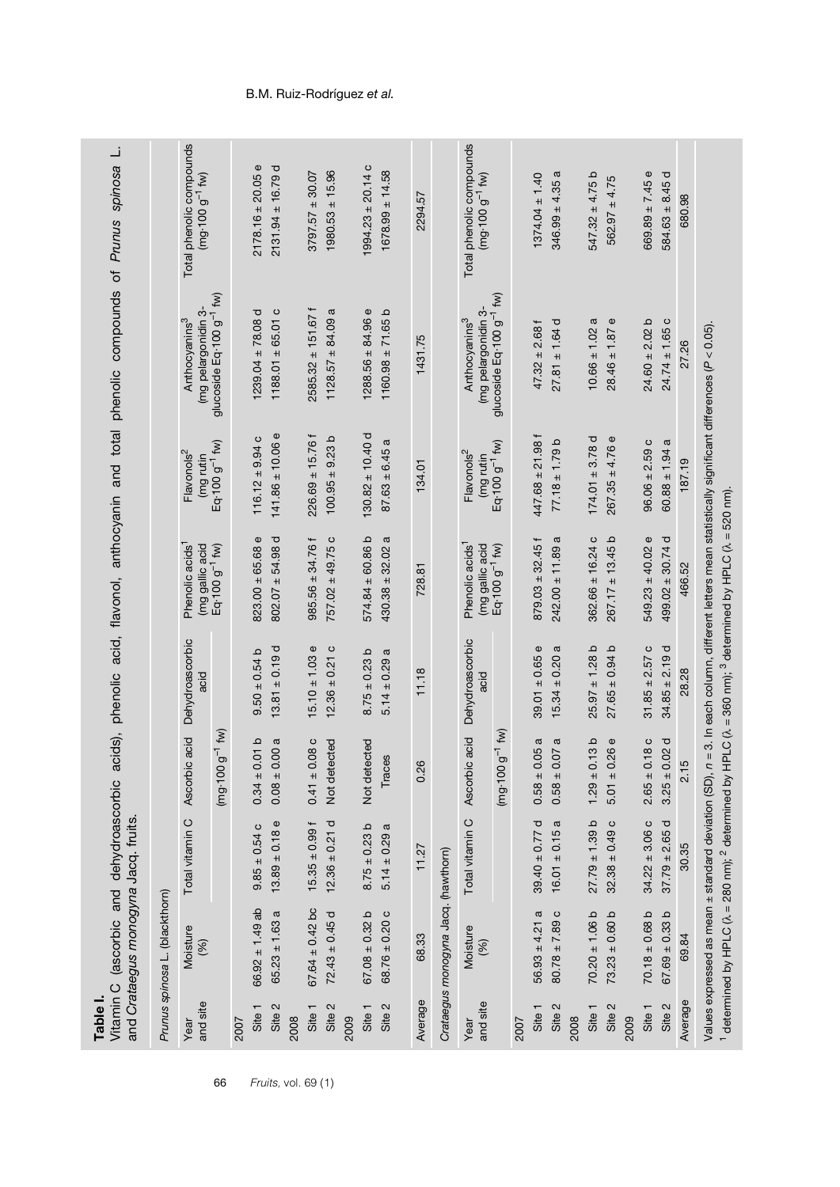|                  | and Crataegus monogyna Jacq. fruits | Vitamin C (ascorbic and dehydroascorbic |                                   |                         |                                                                                                                                                                     |                                     | acids), phenolic acid, flavonol, anthocyanin and total phenolic compounds of Prunus spinosa | نـ                                                     |
|------------------|-------------------------------------|-----------------------------------------|-----------------------------------|-------------------------|---------------------------------------------------------------------------------------------------------------------------------------------------------------------|-------------------------------------|---------------------------------------------------------------------------------------------|--------------------------------------------------------|
|                  | Prunus spinosa L. (blackthorn)      |                                         |                                   |                         |                                                                                                                                                                     |                                     |                                                                                             |                                                        |
| and site<br>Year | Moisture<br>(%)                     | Total vitamin C                         | Ascorbic acid                     | Dehydroascorbic<br>acid | Phenolic acids <sup>1</sup><br>$(mg$ gallic acid<br>Eq $\cdot$ 100 g <sup>-1</sup> fw)                                                                              | Flavonols <sup>2</sup><br>(mg rutin | (mg pelargonidin 3-<br>Anthocyanins <sup>3</sup>                                            | Total phenolic compounds<br>$(mg \cdot 100 g^{-1}$ fw) |
|                  |                                     |                                         | $g^{-1}$ fw)<br>$(mg\cdot 100)$   |                         |                                                                                                                                                                     | Eq-100 g <sup>-1</sup> fw)          | glucoside Eq.100 g <sup>-1</sup> fw)                                                        |                                                        |
| 2007             |                                     |                                         |                                   |                         |                                                                                                                                                                     |                                     |                                                                                             |                                                        |
| Site 1           | $66.92 \pm 1.49$ ab                 | $9.85 \pm 0.54$ C                       | $0.34 \pm 0.01$ b                 | $9.50 \pm 0.54$ b       | $823.00 \pm 65.68$ e                                                                                                                                                | $116.12 \pm 9.94$ c                 | $1239.04 \pm 78.08$ d                                                                       | $2178.16 \pm 20.05$ e                                  |
| Site 2           | $65.23 \pm 1.63$ a                  | $13.89 \pm 0.18$ e                      | 0.00a<br>$0.08 \pm 0$             | $13.81 \pm 0.19$ d      | $802.07 \pm 54.98$ d                                                                                                                                                | $141.86 \pm 10.06$ e                | $1188.01 \pm 65.01$ c                                                                       | $2131.94 \pm 16.79$ d                                  |
| 2008             |                                     |                                         |                                   |                         |                                                                                                                                                                     |                                     |                                                                                             |                                                        |
| Site 1           | $67.64 \pm 0.42$ bc                 | $15.35 \pm 0.99$ f                      | $0.41 \pm 0.08$ c                 | $15.10 \pm 1.03$ e      | $985.56 \pm 34.76$ f                                                                                                                                                | $226.69 \pm 15.76$ f                | $2585.32 \pm 151.67$ f                                                                      | $3797.57 \pm 30.07$                                    |
| Site 2           | $72.43 \pm 0.45$ d                  | $12.36 \pm 0.21$ d                      | Not detected                      | $12.36 \pm 0.21$ c      | $757.02 \pm 49.75$ c                                                                                                                                                | $100.95 \pm 9.23$ b                 | $1128.57 \pm 84.09$ a                                                                       | $1980.53 \pm 15.96$                                    |
| 2009             |                                     |                                         |                                   |                         |                                                                                                                                                                     |                                     |                                                                                             |                                                        |
| Site 1           | $67.08 \pm 0.32$ b                  | $8.75 \pm 0.23$ b                       | Not detected                      | $8.75 \pm 0.23$ b       | $574.84 \pm 60.86$ b                                                                                                                                                | $130.82 \pm 10.40$ d                | $1288.56 \pm 84.96$ e                                                                       | $1994.23 \pm 20.14$ C                                  |
| Site 2           | $68.76 \pm 0.20$ c                  | $5.14 \pm 0.29$ a                       | Traces                            | $5.14 \pm 0.29$ a       | ω<br>$430.38 \pm 32.02$                                                                                                                                             | $87.63 \pm 6.45$ a                  | $1160.98 \pm 71.65$ b                                                                       | $1678.99 \pm 14.58$                                    |
| Average          | 68.33                               | 11.27                                   | 0.26                              | 11.18                   | 728.81                                                                                                                                                              | 134.01                              | 1431.75                                                                                     | 2294.57                                                |
|                  | Crataegus monogyna Jacq. (hawthorn) |                                         |                                   |                         |                                                                                                                                                                     |                                     |                                                                                             |                                                        |
| Year             | Moisture                            | Total vitamin C                         | Ascorbic acid                     | Dehydroascorbic         | Phenolic acids <sup>1</sup>                                                                                                                                         | Flavonols <sup>2</sup>              | Anthocyanins <sup>3</sup>                                                                   | Total phenolic compounds                               |
| and site         | (%)                                 |                                         |                                   | acid                    | (mg gallic acid                                                                                                                                                     | (mg rutin                           | (mg pelargonidin 3-                                                                         | $(mg \cdot 100 g^{-1}$ fw)                             |
|                  |                                     |                                         | $g^{-1}$ fw)<br>$(mg\cdot 100$    |                         | Eq-100 g <sup>-1</sup> fw)                                                                                                                                          | Eq-100 g <sup>-1</sup> fw)          | glucoside Eq-100 g <sup>-1</sup> fw)                                                        |                                                        |
| 2007             |                                     |                                         |                                   |                         |                                                                                                                                                                     |                                     |                                                                                             |                                                        |
| Site 1           | $56.93 \pm 4.21 a$                  | $39.40 \pm 0.77$ d                      | 0.05a<br>$0.58 \pm$               | $39.01 \pm 0.65$ e      | $879.03 \pm 32.45$ f                                                                                                                                                | $447.68 \pm 21.98$ f                | $47.32 \pm 2.68$ f                                                                          | $1374.04 \pm 1.40$                                     |
| Site 2           | $80.78 \pm 7.89$ c                  | $16.01 \pm 0.15$ a                      | 0.07a<br>$0.58 \pm 0$             | a<br>$15.34 \pm 0.20$   | $242.00 \pm 11.89$                                                                                                                                                  | $77.18 \pm 1.79$ b                  | $27.81 \pm 1.64$ d                                                                          | $346.99 \pm 4.35$ a                                    |
| 2008             |                                     |                                         |                                   |                         |                                                                                                                                                                     |                                     |                                                                                             |                                                        |
| Site 1           | $70.20 \pm 1.06$ b                  | $27.79 \pm 1.39 b$                      | 0.13 <sub>b</sub><br>$1.29 \pm 0$ | $25.97 \pm 1.28$ b      | $362.66 \pm 16.24$ c                                                                                                                                                | $174.01 \pm 3.78$ d                 | a<br>$10.66 \pm 1.02$                                                                       | $547.32 \pm 4.75$ b                                    |
| Site 2           | $73.23 \pm 0.60$ b                  | $32.38 \pm 0.49$ c                      | 0.26e<br>$5.01 \pm 0.0$           | $27.65 \pm 0.94$ b      | $267.17 \pm 13.45$ b                                                                                                                                                | $267.35 \pm 4.76$ e                 | Ф<br>$28.46 \pm 1.87$                                                                       | $562.97 \pm 4.75$                                      |
| 2009             |                                     |                                         |                                   |                         |                                                                                                                                                                     |                                     |                                                                                             |                                                        |
| Site 1           | $70.18 \pm 0.68$ b                  | $34.22 \pm 3.06$ c                      | 0.18c<br>$2.65 \pm 1$             | $31.85 \pm 2.57$ C      | $549.23 \pm 40.02$ e                                                                                                                                                | $96.06 \pm 2.59$ c                  | $24.60 \pm 2.02$ b                                                                          | Φ<br>$669.89 \pm 7.45$                                 |
| Site 2           | $67.69 \pm 0.33$ b                  | $37.79 \pm 2.65 d$                      | $3.25 \pm 0.02$ d                 | $34.85 \pm 2.19$ d      | $499.02 \pm 30.74$ d                                                                                                                                                | a<br>$60.88 \pm 1.94$               | $24.74 \pm 1.65$ c                                                                          | ⊽<br>$584.63 \pm 8.45$                                 |
| Average          | 69.84                               | 30.35                                   | 2.15                              | 28.28                   | 466.52                                                                                                                                                              | 187.19                              | 27.26                                                                                       | 680.98                                                 |
|                  |                                     |                                         |                                   |                         | Values expressed as mean ± standard deviation (SD), $n=3$ . In each column, different letters mean statistically significant differences (P < 0.05).                |                                     |                                                                                             |                                                        |
|                  |                                     |                                         |                                   |                         | <sup>1</sup> determined by HPLC ( $\lambda$ = 280 nm); <sup>2</sup> determined by HPLC ( $\lambda$ = 360 nm); <sup>3</sup> determined by HPLC ( $\lambda$ = 520 nm) |                                     |                                                                                             |                                                        |

# B.M. Ruiz-Rodríguez *et al.*

<span id="page-5-0"></span>

66 *Fruits,* vol. 69 (1)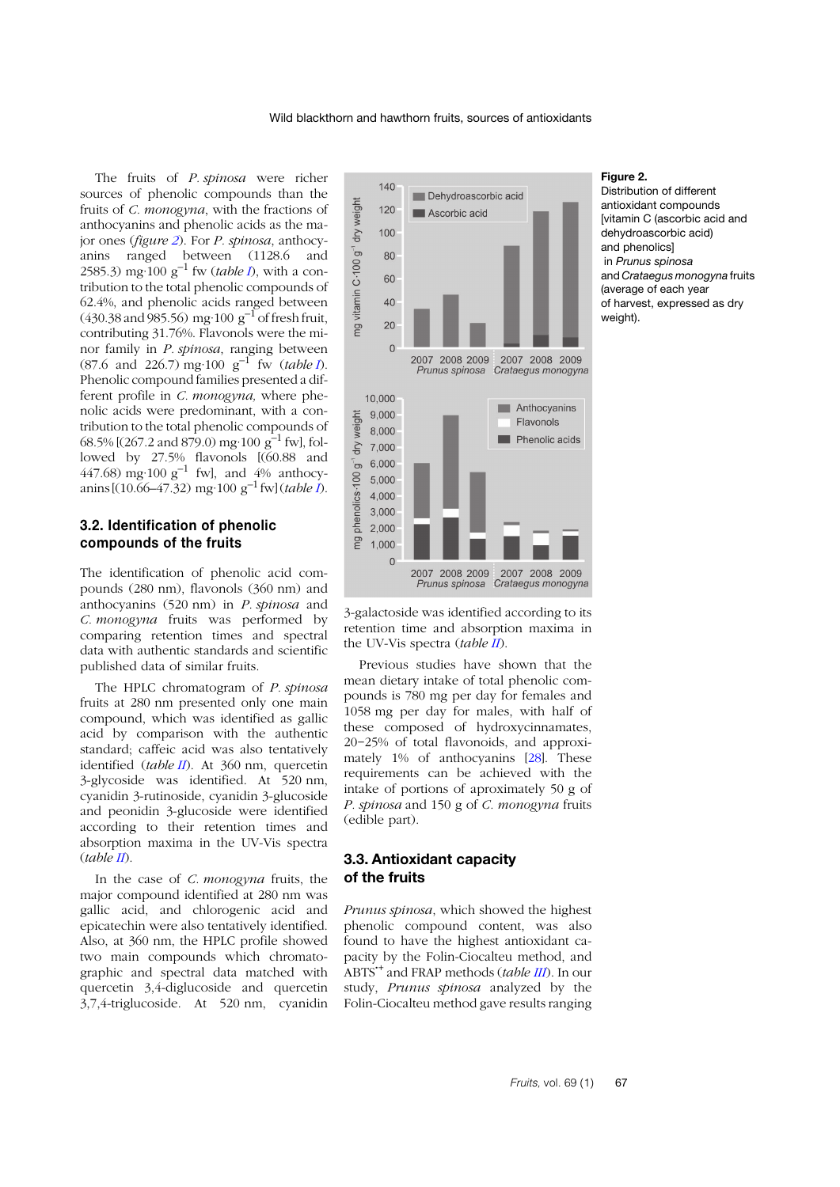The fruits of *P. spinosa* were richer sources of phenolic compounds than the fruits of *C. monogyna*, with the fractions of anthocyanins and phenolic acids as the major ones (*figure [2](#page-6-0)*). For *P. spinosa*, anthocyanins ranged between (1128.6 and 2585.3) mg·100 g–1 fw (*table [I](#page-5-0)*), with a contribution to the total phenolic compounds of 62.4%, and phenolic acids ranged between  $(430.38 \text{ and } 985.56) \text{ mg} \cdot 100 \text{ g}^{-1} \text{ of fresh fruit},$ contributing 31.76%. Flavonols were the minor family in *P. spinosa*, ranging between (87.6 and 226.7) mg·100 g–1 fw (*table [I](#page-5-0)*). Phenolic compound families presented a different profile in *C. monogyna,* where phenolic acids were predominant, with a contribution to the total phenolic compounds of 68.5% [ $(267.2 \text{ and } 879.0)$  mg·100 g<sup>-1</sup> fw], followed by 27.5% flavonols [(60.88 and 447.68) mg·100  $g^{-1}$  fw], and 4% anthocyanins  $[(10.66-47.32)$  mg·100 g<sup>-1</sup> fw] (*table 1*).

#### **3.2. Identification of phenolic compounds of the fruits**

The identification of phenolic acid compounds (280 nm), flavonols (360 nm) and anthocyanins (520 nm) in *P. spinosa* and *C. monogyna* fruits was performed by comparing retention times and spectral data with authentic standards and scientific published data of similar fruits.

The HPLC chromatogram of *P. spinosa* fruits at 280 nm presented only one main compound, which was identified as gallic acid by comparison with the authentic standard; caffeic acid was also tentatively identified (*table I[I](#page-7-0)*). At 360 nm, quercetin 3-glycoside was identified. At 520 nm, cyanidin 3-rutinoside, cyanidin 3-glucoside and peonidin 3-glucoside were identified according to their retention times and absorption maxima in the UV-Vis spectra (*table [II](#page-7-0)*).

In the case of *C. monogyna* fruits, the major compound identified at 280 nm was gallic acid, and chlorogenic acid and epicatechin were also tentatively identified. Also, at 360 nm, the HPLC profile showed two main compounds which chromatographic and spectral data matched with quercetin 3,4-diglucoside and quercetin 3,7,4-triglucoside. At 520 nm, cyanidin



3-galactoside was identified according to its retention time and absorption maxima in the UV-Vis spectra (*table [II](#page-7-0)*).

Previous studies have shown that the mean dietary intake of total phenolic compounds is 780 mg per day for females and 1058 mg per day for males, with half of these composed of hydroxycinnamates, 20−25% of total flavonoids, and approximately 1% of anthocyanins [[28](#page-11-18)]. These requirements can be achieved with the intake of portions of aproximately 50 g of *P. spinosa* and 150 g of *C. monogyna* fruits (edible part).

# **3.3. Antioxidant capacity of the fruits**

*Prunus spinosa*, which showed the highest phenolic compound content, was also found to have the highest antioxidant capacity by the Folin-Ciocalteu method, and ABTS**·**<sup>+</sup> and FRAP methods (*table [II](#page-8-0)I*). In our study, *Prunus spinosa* analyzed by the Folin-Ciocalteu method gave results ranging

#### <span id="page-6-0"></span>**Figure 2.**

Distribution of different antioxidant compounds [vitamin C (ascorbic acid and dehydroascorbic acid) and phenolics] in *Prunus spinosa* and *Crataegus monogyna* fruits (average of each year of harvest, expressed as dry weight).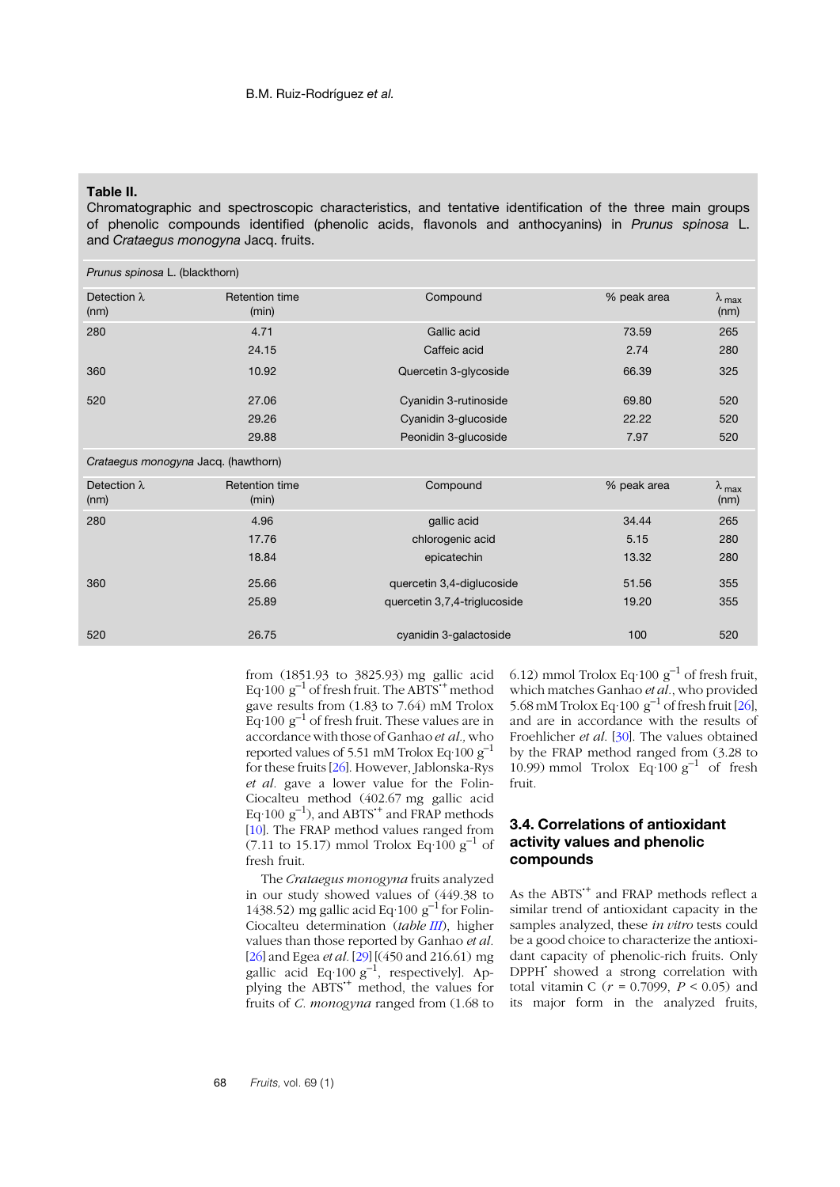#### <span id="page-7-0"></span>**Table II.**

Chromatographic and spectroscopic characteristics, and tentative identification of the three main groups of phenolic compounds identified (phenolic acids, flavonols and anthocyanins) in *Prunus spinosa* L. and *Crataegus monogyna* Jacq. fruits.

| Prunus spinosa L. (blackthorn)      |                                |                              |             |                                  |
|-------------------------------------|--------------------------------|------------------------------|-------------|----------------------------------|
| Detection $\lambda$<br>(nm)         | <b>Retention time</b><br>(min) | Compound                     | % peak area | $\lambda$ <sub>max</sub><br>(nm) |
| 280                                 | 4.71                           | Gallic acid                  | 73.59       | 265                              |
|                                     | 24.15                          | Caffeic acid                 | 2.74        | 280                              |
| 360                                 | 10.92                          | Quercetin 3-glycoside        | 66.39       | 325                              |
| 520                                 | 27.06                          | Cyanidin 3-rutinoside        | 69.80       | 520                              |
|                                     | 29.26                          | Cyanidin 3-glucoside         | 22.22       | 520                              |
|                                     | 29.88                          | Peonidin 3-glucoside         | 7.97        | 520                              |
| Crataegus monogyna Jacq. (hawthorn) |                                |                              |             |                                  |
| Detection $\lambda$<br>(nm)         | <b>Retention time</b><br>(min) | Compound                     | % peak area | $\lambda$ max<br>(nm)            |
| 280                                 | 4.96                           | gallic acid                  | 34.44       | 265                              |
|                                     | 17.76                          | chlorogenic acid             | 5.15        | 280                              |
|                                     | 18.84                          | epicatechin                  | 13.32       | 280                              |
| 360                                 | 25.66                          | quercetin 3,4-diglucoside    | 51.56       | 355                              |
|                                     | 25.89                          | quercetin 3,7,4-triglucoside | 19.20       | 355                              |
| 520                                 | 26.75                          | cyanidin 3-galactoside       | 100         | 520                              |
|                                     |                                |                              |             |                                  |

from (1851.93 to 3825.93) mg gallic acid Eq·100 g–1 of fresh fruit. The ABTS**·**<sup>+</sup> method gave results from (1.83 to 7.64) mM Trolox Eq $\cdot$ 100 g<sup>-1</sup> of fresh fruit. These values are in accordance with those of Ganhao *et al.,*who reported values of 5.51 mM Trolox Eq $\cdot$ 100 g<sup>-1</sup> for these fruits [[26](#page-11-16)]. However, Jablonska-Rys *et al.* gave a lower value for the Folin-Ciocalteu method (402.67 mg gallic acid Eq·100 g–1), and ABTS**·**<sup>+</sup> and FRAP methods [[10](#page-11-0)]. The FRAP method values ranged from (7.11 to 15.17) mmol Trolox Eq $\overline{100}$  g<sup>-1</sup> of fresh fruit.

The *Crataegus monogyna* fruits analyzed in our study showed values of (449.38 to 1438.52) mg gallic acid Eq·100 g<sup>-1</sup> for Folin-Ciocalteu determination (*table [II](#page-8-0)I*), higher values than those reported by Ganhao *et al.* [[26](#page-11-16)] and Egea *et al.* [2[9](#page-11-19)] [(450 and 216.61) mg [20] and Egea error (271). See Eq. 100 g<sup>-1</sup>, respectively]. Applying the ABTS**·**<sup>+</sup> method, the values for fruits of *C. monogyna* ranged from (1.68 to 6.12) mmol Trolox Eq $\cdot$ 100  $g^{-1}$  of fresh fruit, which matches Ganhao *et al.*, who provided 5.[6](#page-11-16)8 mM Trolox Eq $\cdot$ 100 g<sup>-1</sup> of fresh fruit [26], and are in accordance with the results of Froehlicher *et al*. [[30](#page-11-20)]. The values obtained by the FRAP method ranged from (3.28 to 10.99) mmol Trolox Eq.100  $g^{-1}$  of fresh fruit.

## **3.4. Correlations of antioxidant activity values and phenolic compounds**

As the ABTS<sup>\*+</sup> and FRAP methods reflect a similar trend of antioxidant capacity in the samples analyzed, these *in vitro* tests could be a good choice to characterize the antioxidant capacity of phenolic-rich fruits. Only DPPH**·** showed a strong correlation with total vitamin C (*r* = 0.7099, *P* < 0.05) and its major form in the analyzed fruits,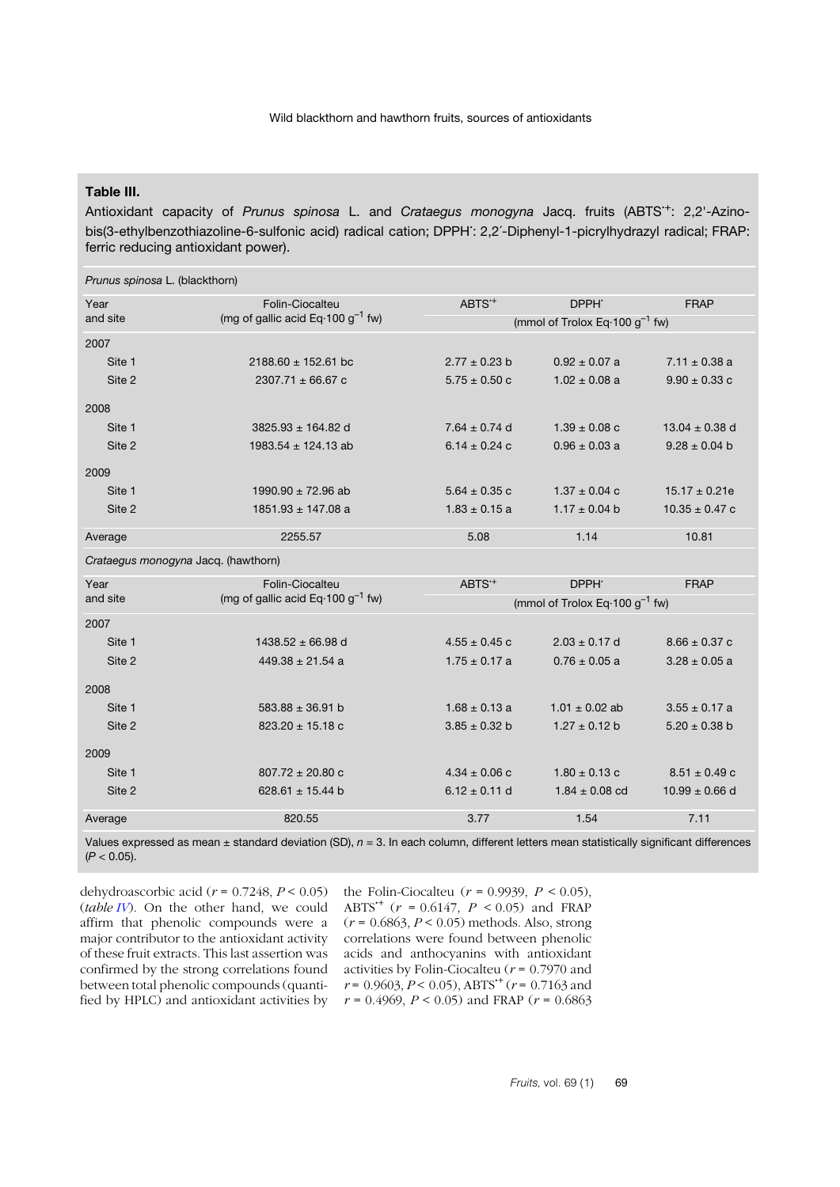# <span id="page-8-0"></span>**Table III.**

Antioxidant capacity of *Prunus spinosa* L. and *Crataegus monogyna* Jacq. fruits (ABTS**·**+: 2,2'-Azinobis(3-ethylbenzothiazoline-6-sulfonic acid) radical cation; DPPH**·** : 2,2´-Diphenyl-1-picrylhydrazyl radical; FRAP: ferric reducing antioxidant power).

| Prunus spinosa L. (blackthorn)      |                                                       |                   |                                                    |                    |  |  |
|-------------------------------------|-------------------------------------------------------|-------------------|----------------------------------------------------|--------------------|--|--|
| Year                                | Folin-Ciocalteu                                       | ABTS <sup>+</sup> | DPPH <sup>.</sup>                                  | <b>FRAP</b>        |  |  |
| and site                            | (mg of gallic acid Eq 100 $g^{-1}$ fw)                |                   | (mmol of Trolox Eq $\cdot$ 100 g <sup>-1</sup> fw) |                    |  |  |
| 2007                                |                                                       |                   |                                                    |                    |  |  |
| Site 1                              | $2188.60 \pm 152.61$ bc                               | $2.77 \pm 0.23$ b | $0.92 \pm 0.07$ a                                  | $7.11 \pm 0.38$ a  |  |  |
| Site 2                              | $2307.71 \pm 66.67$ c                                 | $5.75 \pm 0.50$ c | $1.02 \pm 0.08$ a                                  | $9.90 \pm 0.33$ c  |  |  |
| 2008                                |                                                       |                   |                                                    |                    |  |  |
| Site 1                              | 3825.93 $\pm$ 164.82 d                                | $7.64 \pm 0.74$ d | $1.39 \pm 0.08$ c                                  | $13.04 \pm 0.38$ d |  |  |
| Site 2                              | 1983.54 $\pm$ 124.13 ab                               | 6.14 $\pm$ 0.24 c | $0.96 \pm 0.03$ a                                  | $9.28 \pm 0.04$ b  |  |  |
| 2009                                |                                                       |                   |                                                    |                    |  |  |
| Site 1                              | 1990.90 $\pm$ 72.96 ab                                | $5.64 \pm 0.35$ c | $1.37 \pm 0.04$ c                                  | $15.17 \pm 0.21e$  |  |  |
| Site 2                              | $1851.93 \pm 147.08$ a                                | $1.83 \pm 0.15$ a | $1.17 \pm 0.04$ b                                  | $10.35 \pm 0.47$ c |  |  |
| Average                             | 2255.57                                               | 5.08              | 1.14                                               | 10.81              |  |  |
| Crataegus monogyna Jacq. (hawthorn) |                                                       |                   |                                                    |                    |  |  |
| Year                                | Folin-Ciocalteu                                       | ABTS <sup>+</sup> | DPPH <sup>.</sup>                                  | <b>FRAP</b>        |  |  |
| and site                            | (mg of gallic acid Eq $\cdot$ 100 g <sup>-1</sup> fw) |                   | (mmol of Trolox Eq $\cdot$ 100 g <sup>-1</sup> fw) |                    |  |  |
| 2007                                |                                                       |                   |                                                    |                    |  |  |
| Site 1                              | $1438.52 \pm 66.98$ d                                 | $4.55 \pm 0.45$ c | $2.03 \pm 0.17$ d                                  | $8.66 \pm 0.37$ c  |  |  |
| Site 2                              | $449.38 \pm 21.54$ a                                  | $1.75 \pm 0.17$ a | $0.76 \pm 0.05$ a                                  | $3.28 \pm 0.05$ a  |  |  |
| 2008                                |                                                       |                   |                                                    |                    |  |  |
| Site 1                              | $583.88 \pm 36.91$ b                                  | $1.68 \pm 0.13$ a | $1.01 \pm 0.02$ ab                                 | $3.55 \pm 0.17$ a  |  |  |
| Site 2                              | $823.20 \pm 15.18$ c                                  | $3.85 \pm 0.32$ b | $1.27 \pm 0.12$ b                                  | $5.20 \pm 0.38$ b  |  |  |
| 2009                                |                                                       |                   |                                                    |                    |  |  |
| Site 1                              | $807.72 \pm 20.80$ c                                  | $4.34 \pm 0.06$ c | $1.80 \pm 0.13$ c                                  | $8.51 \pm 0.49$ c  |  |  |
| Site 2                              | 628.61 $\pm$ 15.44 b                                  | $6.12 \pm 0.11$ d | $1.84 \pm 0.08$ cd                                 | $10.99 \pm 0.66$ d |  |  |
| Average                             | 820.55                                                | 3.77              | 1.54                                               | 7.11               |  |  |

Values expressed as mean ± standard deviation (SD), *n* = 3. In each column, different letters mean statistically significant differences  $(P < 0.05)$ .

dehydroascorbic acid (*r* = 0.7248, *P* < 0.05) (*table [IV](#page-9-0)*). On the other hand, we could affirm that phenolic compounds were a major contributor to the antioxidant activity of these fruit extracts. This last assertion was confirmed by the strong correlations found between total phenolic compounds (quantified by HPLC) and antioxidant activities by  $r = 0.4969$ ,  $P < 0.05$ ) and FRAP ( $r = 0.6863$ 

the Folin-Ciocalteu ( $r = 0.9939$ ,  $P < 0.05$ ), ABTS<sup>\*</sup>+ ( $r = 0.6147$ ,  $P < 0.05$ ) and FRAP (*r* = 0.6863, *P* < 0.05) methods. Also, strong correlations were found between phenolic acids and anthocyanins with antioxidant activities by Folin-Ciocalteu (*r* = 0.7970 and  $r = 0.9603, P < 0.05$ ), ABTS<sup>\*+</sup> ( $r = 0.7163$  and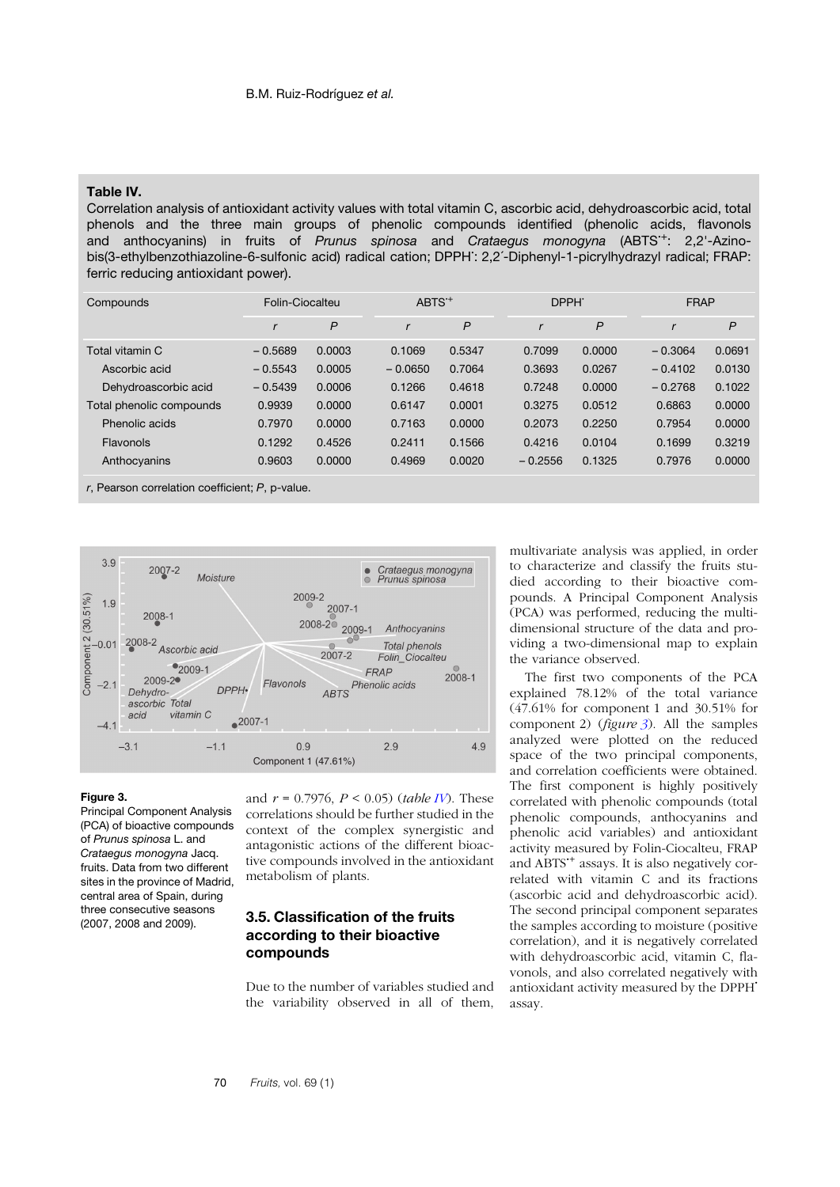#### <span id="page-9-0"></span>**Table IV.**

Correlation analysis of antioxidant activity values with total vitamin C, ascorbic acid, dehydroascorbic acid, total phenols and the three main groups of phenolic compounds identified (phenolic acids, flavonols and anthocyanins) in fruits of *Prunus spinosa* and *Crataegus monogyna* (ABTS**·**+: 2,2'-Azinobis(3-ethylbenzothiazoline-6-sulfonic acid) radical cation; DPPH**·** : 2,2´-Diphenyl-1-picrylhydrazyl radical; FRAP: ferric reducing antioxidant power).

| Compounds                | Folin-Ciocalteu |        | ABTS <sup>+</sup> |        | DPPH <sup>-</sup> |        | <b>FRAP</b> |        |
|--------------------------|-----------------|--------|-------------------|--------|-------------------|--------|-------------|--------|
|                          |                 | P      | r                 | P      |                   | P      |             | P      |
| Total vitamin C          | $-0.5689$       | 0.0003 | 0.1069            | 0.5347 | 0.7099            | 0.0000 | $-0.3064$   | 0.0691 |
| Ascorbic acid            | $-0.5543$       | 0.0005 | $-0.0650$         | 0.7064 | 0.3693            | 0.0267 | $-0.4102$   | 0.0130 |
| Dehydroascorbic acid     | $-0.5439$       | 0.0006 | 0.1266            | 0.4618 | 0.7248            | 0.0000 | $-0.2768$   | 0.1022 |
| Total phenolic compounds | 0.9939          | 0.0000 | 0.6147            | 0.0001 | 0.3275            | 0.0512 | 0.6863      | 0.0000 |
| Phenolic acids           | 0.7970          | 0.0000 | 0.7163            | 0.0000 | 0.2073            | 0.2250 | 0.7954      | 0.0000 |
| Flavonols                | 0.1292          | 0.4526 | 0.2411            | 0.1566 | 0.4216            | 0.0104 | 0.1699      | 0.3219 |
| Anthocyanins             | 0.9603          | 0.0000 | 0.4969            | 0.0020 | $-0.2556$         | 0.1325 | 0.7976      | 0.0000 |

*r*, Pearson correlation coefficient; *P*, p-value.



#### <span id="page-9-1"></span>**Figure 3.**

Principal Component Analysis (PCA) of bioactive compounds of *Prunus spinosa* L. and *Crataegus monogyna* Jacq. fruits. Data from two different sites in the province of Madrid, central area of Spain, during three consecutive seasons (2007, 2008 and 2009).

and *r* = 0.7976, *P* < 0.05) (*table I[V](#page-9-0)*). These correlations should be further studied in the context of the complex synergistic and antagonistic actions of the different bioactive compounds involved in the antioxidant metabolism of plants.

## **3.5. Classification of the fruits according to their bioactive compounds**

Due to the number of variables studied and the variability observed in all of them, multivariate analysis was applied, in order to characterize and classify the fruits studied according to their bioactive compounds. A Principal Component Analysis (PCA) was performed, reducing the multidimensional structure of the data and providing a two-dimensional map to explain the variance observed.

The first two components of the PCA explained 78.12% of the total variance (47.61% for component 1 and 30.51% for component 2) (*figure [3](#page-9-1)*). All the samples analyzed were plotted on the reduced space of the two principal components, and correlation coefficients were obtained. The first component is highly positively correlated with phenolic compounds (total phenolic compounds, anthocyanins and phenolic acid variables) and antioxidant activity measured by Folin-Ciocalteu, FRAP and ABTS**·**<sup>+</sup> assays. It is also negatively correlated with vitamin C and its fractions (ascorbic acid and dehydroascorbic acid). The second principal component separates the samples according to moisture (positive correlation), and it is negatively correlated with dehydroascorbic acid, vitamin C, flavonols, and also correlated negatively with antioxidant activity measured by the DPPH**·** assay.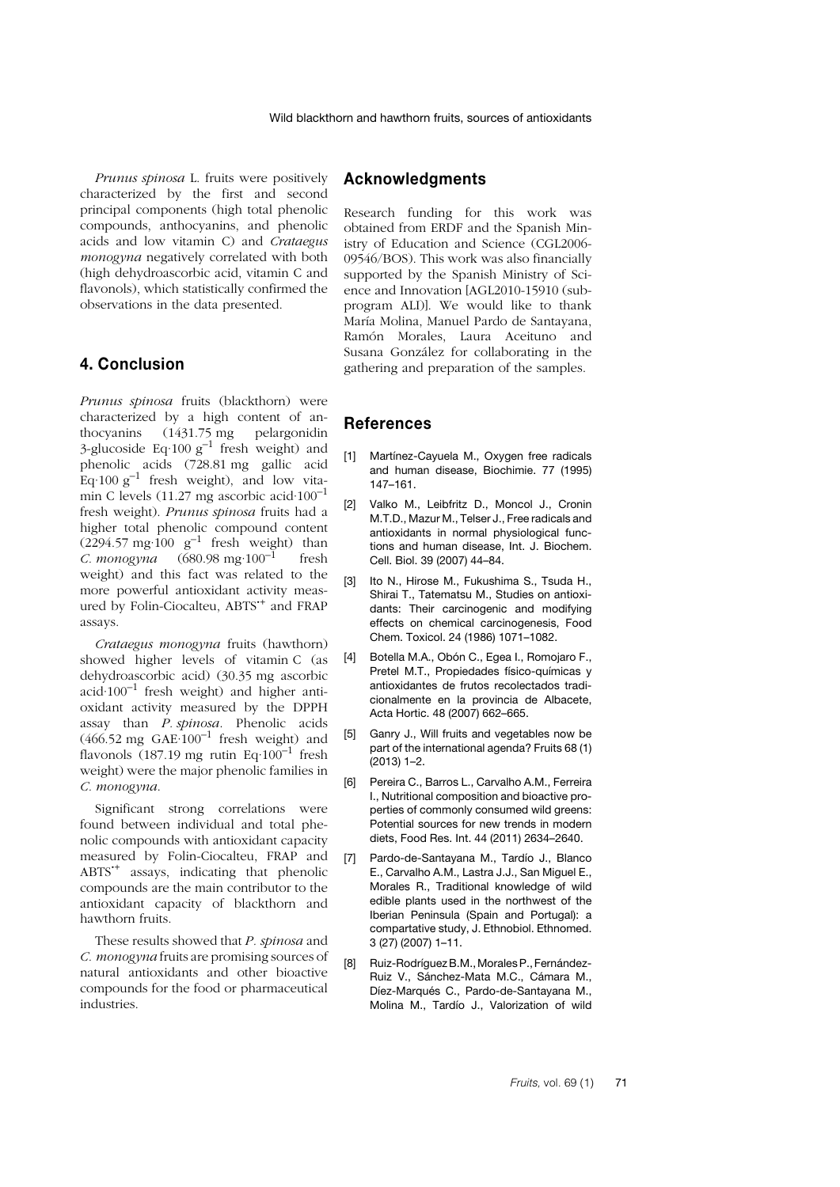*Prunus spinosa* L. fruits were positively characterized by the first and second principal components (high total phenolic compounds, anthocyanins, and phenolic acids and low vitamin C) and *Crataegus monogyna* negatively correlated with both (high dehydroascorbic acid, vitamin C and flavonols), which statistically confirmed the observations in the data presented.

# **4. Conclusion**

*Prunus spinosa* fruits (blackthorn) were characterized by a high content of anthocyanins (1431.75 mg pelargonidin 3-glucoside Eq $\cdot 100 \text{ g}^{-1}$  fresh weight) and phenolic acids (728.81 mg gallic acid Eq $\cdot$ 100 g<sup>-1</sup> fresh weight), and low vitamin C levels (11.27 mg ascorbic acid $\cdot 100^{-1}$ fresh weight). *Prunus spinosa* fruits had a higher total phenolic compound content  $(2294.57 \text{ mg}\cdot 100 \text{ g}^{-1} \text{ fresh weight})$  than *C. monogyna*  $(680.98 \text{ mg} \cdot 100^{-1} \text{ fresh})$ weight) and this fact was related to the more powerful antioxidant activity measured by Folin-Ciocalteu, ABTS**·**<sup>+</sup> and FRAP assays.

*Crataegus monogyna* fruits (hawthorn) showed higher levels of vitamin C (as dehydroascorbic acid) (30.35 mg ascorbic acid $\cdot 100^{-1}$  fresh weight) and higher antioxidant activity measured by the DPPH assay than *P. spinosa*. Phenolic acids  $(466.52 \text{ mg } GAE·100^{-1} \text{ fresh weight})$  and flavonols (187.19 mg rutin Eq $\cdot 100^{-1}$  fresh weight) were the major phenolic families in *C. monogyna*.

Significant strong correlations were found between individual and total phenolic compounds with antioxidant capacity measured by Folin-Ciocalteu, FRAP and ABTS**·**<sup>+</sup> assays, indicating that phenolic compounds are the main contributor to the antioxidant capacity of blackthorn and hawthorn fruits.

These results showed that *P. spinosa* and *C. monogyna* fruits are promising sources of natural antioxidants and other bioactive compounds for the food or pharmaceutical industries.

# **Acknowledgments**

Research funding for this work was obtained from ERDF and the Spanish Ministry of Education and Science (CGL2006- 09546/BOS). This work was also financially supported by the Spanish Ministry of Science and Innovation [AGL2010-15910 (subprogram ALI)]. We would like to thank María Molina, Manuel Pardo de Santayana, Ramón Morales, Laura Aceituno and Susana González for collaborating in the gathering and preparation of the samples.

# **References**

- <span id="page-10-0"></span>[1] Martínez-Cayuela M., Oxygen free radicals and human disease, Biochimie. 77 (1995) 147–161.
- <span id="page-10-1"></span>[2] Valko M., Leibfritz D., Moncol J., Cronin M.T.D., Mazur M., Telser J., Free radicals and antioxidants in normal physiological functions and human disease, Int. J. Biochem. Cell. Biol. 39 (2007) 44–84.
- <span id="page-10-2"></span>[3] Ito N., Hirose M., Fukushima S., Tsuda H., Shirai T., Tatematsu M., Studies on antioxidants: Their carcinogenic and modifying effects on chemical carcinogenesis, Food Chem. Toxicol. 24 (1986) 1071–1082.
- [4] Botella M.A., Obón C., Egea I., Romojaro F., Pretel M.T., Propiedades físico-químicas y antioxidantes de frutos recolectados tradicionalmente en la provincia de Albacete, Acta Hortic. 48 (2007) 662–665.
- <span id="page-10-5"></span>[5] Ganry J., Will fruits and vegetables now be part of the international agenda? Fruits 68 (1) (2013) 1–2.
- <span id="page-10-3"></span>[6] Pereira C., Barros L., Carvalho A.M., Ferreira I., Nutritional composition and bioactive properties of commonly consumed wild greens: Potential sources for new trends in modern diets, Food Res. Int. 44 (2011) 2634–2640.
- <span id="page-10-4"></span>[7] Pardo-de-Santayana M., Tardío J., Blanco E., Carvalho A.M., Lastra J.J., San Miguel E., Morales R., Traditional knowledge of wild edible plants used in the northwest of the Iberian Peninsula (Spain and Portugal): a compartative study, J. Ethnobiol. Ethnomed. 3 (27) (2007) 1–11.
- <span id="page-10-6"></span>[8] Ruiz-RodríguezB.M.,Morales P., Fernández-Ruiz V., Sánchez-Mata M.C., Cámara M., Díez-Marqués C., Pardo-de-Santayana M., Molina M., Tardío J., Valorization of wild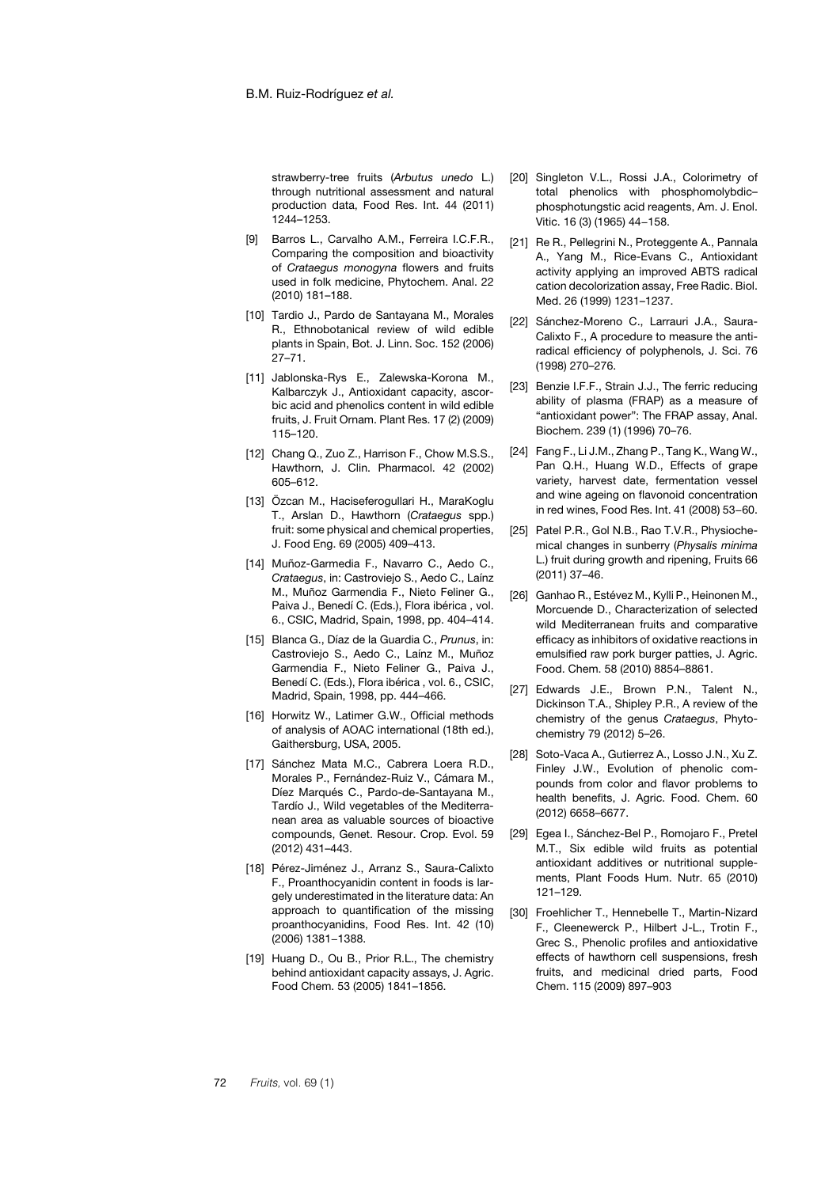strawberry-tree fruits (*Arbutus unedo* L.) through nutritional assessment and natural production data, Food Res. Int. 44 (2011) 1244–1253.

- [9] Barros L., Carvalho A.M., Ferreira I.C.F.R., Comparing the composition and bioactivity of *Crataegus monogyna* flowers and fruits used in folk medicine, Phytochem. Anal. 22 (2010) 181–188.
- <span id="page-11-0"></span>[10] Tardio J., Pardo de Santayana M., Morales R., Ethnobotanical review of wild edible plants in Spain, Bot. J. Linn. Soc. 152 (2006) 27–71.
- <span id="page-11-1"></span>[11] Jablonska-Rys E., Zalewska-Korona M., Kalbarczyk J., Antioxidant capacity, ascorbic acid and phenolics content in wild edible fruits, J. Fruit Ornam. Plant Res. 17 (2) (2009) 115–120.
- <span id="page-11-2"></span>[12] Chang Q., Zuo Z., Harrison F., Chow M.S.S., Hawthorn, J. Clin. Pharmacol. 42 (2002) 605–612.
- <span id="page-11-3"></span>[13] Özcan M., Haciseferogullari H., MaraKoglu T., Arslan D., Hawthorn (*Crataegus* spp.) fruit: some physical and chemical properties, J. Food Eng. 69 (2005) 409–413.
- <span id="page-11-4"></span>[14] Muñoz-Garmedia F., Navarro C., Aedo C., *Crataegus*, in: Castroviejo S., Aedo C., Laínz M., Muñoz Garmendia F., Nieto Feliner G., Paiva J., Benedí C. (Eds.), Flora ibérica , vol. 6., CSIC, Madrid, Spain, 1998, pp. 404–414.
- <span id="page-11-5"></span>[15] Blanca G., Díaz de la Guardia C., *Prunus*, in: Castroviejo S., Aedo C., Laínz M., Muñoz Garmendia F., Nieto Feliner G., Paiva J., Benedí C. (Eds.), Flora ibérica , vol. 6., CSIC, Madrid, Spain, 1998, pp. 444–466.
- <span id="page-11-6"></span>[16] Horwitz W., Latimer G.W., Official methods of analysis of AOAC international (18th ed.), Gaithersburg, USA, 2005.
- <span id="page-11-7"></span>[17] Sánchez Mata M.C., Cabrera Loera R.D., Morales P., Fernández-Ruiz V., Cámara M., Díez Marqués C., Pardo-de-Santayana M., Tardío J., Wild vegetables of the Mediterranean area as valuable sources of bioactive compounds, Genet. Resour. Crop. Evol. 59 (2012) 431–443.
- <span id="page-11-8"></span>[18] Pérez-Jiménez J., Arranz S., Saura-Calixto F., Proanthocyanidin content in foods is largely underestimated in the literature data: An approach to quantification of the missing proanthocyanidins, Food Res. Int. 42 (10) (2006) 1381−1388.
- <span id="page-11-9"></span>[19] Huang D., Ou B., Prior R.L., The chemistry behind antioxidant capacity assays, J. Agric. Food Chem. 53 (2005) 1841–1856.
- <span id="page-11-10"></span>[20] Singleton V.L., Rossi J.A., Colorimetry of total phenolics with phosphomolybdic– phosphotungstic acid reagents, Am. J. Enol. Vitic. 16 (3) (1965) 44−158.
- <span id="page-11-11"></span>[21] Re R., Pellegrini N., Proteggente A., Pannala A., Yang M., Rice-Evans C., Antioxidant activity applying an improved ABTS radical cation decolorization assay, Free Radic. Biol. Med. 26 (1999) 1231–1237.
- <span id="page-11-12"></span>[22] Sánchez-Moreno C., Larrauri J.A., Saura-Calixto F., A procedure to measure the antiradical efficiency of polyphenols, J. Sci. 76 (1998) 270–276.
- <span id="page-11-13"></span>[23] Benzie I.F.F., Strain J.J., The ferric reducing ability of plasma (FRAP) as a measure of "antioxidant power": The FRAP assay, Anal. Biochem. 239 (1) (1996) 70–76.
- <span id="page-11-14"></span>[24] Fang F., Li J.M., Zhang P., Tang K., Wang W., Pan Q.H., Huang W.D., Effects of grape variety, harvest date, fermentation vessel and wine ageing on flavonoid concentration in red wines, Food Res. Int. 41 (2008) 53−60.
- <span id="page-11-15"></span>[25] Patel P.R., Gol N.B., Rao T.V.R., Physiochemical changes in sunberry (*Physalis minima* L.) fruit during growth and ripening, Fruits 66 (2011) 37–46.
- <span id="page-11-16"></span>[26] Ganhao R., Estévez M., Kylli P., Heinonen M., Morcuende D., Characterization of selected wild Mediterranean fruits and comparative efficacy as inhibitors of oxidative reactions in emulsified raw pork burger patties, J. Agric. Food. Chem. 58 (2010) 8854–8861.
- <span id="page-11-17"></span>[27] Edwards J.E., Brown P.N., Talent N., Dickinson T.A., Shipley P.R., A review of the chemistry of the genus *Crataegus*, Phytochemistry 79 (2012) 5–26.
- <span id="page-11-18"></span>[28] Soto-Vaca A., Gutierrez A., Losso J.N., Xu Z. Finley J.W., Evolution of phenolic compounds from color and flavor problems to health benefits, J. Agric. Food. Chem. 60 (2012) 6658–6677.
- <span id="page-11-19"></span>[29] Egea I., Sánchez-Bel P., Romojaro F., Pretel M.T., Six edible wild fruits as potential antioxidant additives or nutritional supplements, Plant Foods Hum. Nutr. 65 (2010) 121–129.
- <span id="page-11-20"></span>[30] Froehlicher T., Hennebelle T., Martin-Nizard F., Cleenewerck P., Hilbert J-L., Trotin F., Grec S., Phenolic profiles and antioxidative effects of hawthorn cell suspensions, fresh fruits, and medicinal dried parts, Food Chem. 115 (2009) 897–903